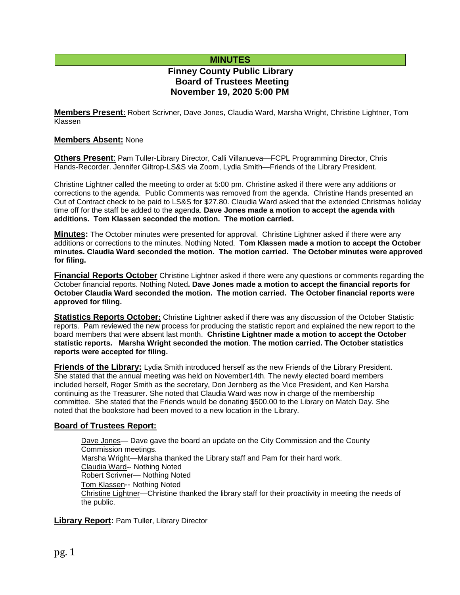## **MINUTES**

# **Finney County Public Library Board of Trustees Meeting November 19, 2020 5:00 PM**

**Members Present:** Robert Scrivner, Dave Jones, Claudia Ward, Marsha Wright, Christine Lightner, Tom Klassen

## **Members Absent:** None

**Others Present**: Pam Tuller-Library Director, Calli Villanueva—FCPL Programming Director, Chris Hands-Recorder. Jennifer Giltrop-LS&S via Zoom, Lydia Smith—Friends of the Library President.

Christine Lightner called the meeting to order at 5:00 pm. Christine asked if there were any additions or corrections to the agenda. Public Comments was removed from the agenda. Christine Hands presented an Out of Contract check to be paid to LS&S for \$27.80. Claudia Ward asked that the extended Christmas holiday time off for the staff be added to the agenda. **Dave Jones made a motion to accept the agenda with additions. Tom Klassen seconded the motion. The motion carried.**

**Minutes:** The October minutes were presented for approval. Christine Lightner asked if there were any additions or corrections to the minutes. Nothing Noted. **Tom Klassen made a motion to accept the October minutes. Claudia Ward seconded the motion. The motion carried. The October minutes were approved for filing.** 

**Financial Reports October** Christine Lightner asked if there were any questions or comments regarding the October financial reports. Nothing Noted**. Dave Jones made a motion to accept the financial reports for October Claudia Ward seconded the motion. The motion carried. The October financial reports were approved for filing.**

**Statistics Reports October:** Christine Lightner asked if there was any discussion of the October Statistic reports. Pam reviewed the new process for producing the statistic report and explained the new report to the board members that were absent last month. **Christine Lightner made a motion to accept the October statistic reports. Marsha Wright seconded the motion**. **The motion carried. The October statistics reports were accepted for filing.**

**Friends of the Library:** Lydia Smith introduced herself as the new Friends of the Library President. She stated that the annual meeting was held on November14th. The newly elected board members included herself, Roger Smith as the secretary, Don Jernberg as the Vice President, and Ken Harsha continuing as the Treasurer. She noted that Claudia Ward was now in charge of the membership committee. She stated that the Friends would be donating \$500.00 to the Library on Match Day. She noted that the bookstore had been moved to a new location in the Library.

#### **Board of Trustees Report:**

Dave Jones— Dave gave the board an update on the City Commission and the County Commission meetings. Marsha Wright—Marsha thanked the Library staff and Pam for their hard work. Claudia Ward-- Nothing Noted Robert Scrivner— Nothing Noted Tom Klassen-- Nothing Noted Christine Lightner—Christine thanked the library staff for their proactivity in meeting the needs of the public.

**Library Report:** Pam Tuller, Library Director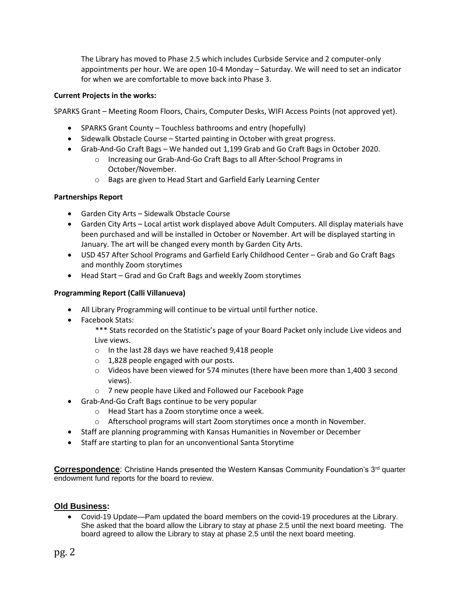The Library has moved to Phase 2.5 which includes Curbside Service and 2 computer-only appointments per hour. We are open 10-4 Monday – Saturday. We will need to set an indicator for when we are comfortable to move back into Phase 3.

## **Current Projects in the works:**

SPARKS Grant – Meeting Room Floors, Chairs, Computer Desks, WIFI Access Points (not approved yet).

- SPARKS Grant County Touchless bathrooms and entry (hopefully)
- Sidewalk Obstacle Course Started painting in October with great progress.
- Grab-And-Go Craft Bags We handed out 1,199 Grab and Go Craft Bags in October 2020.
	- o Increasing our Grab-And-Go Craft Bags to all After-School Programs in October/November.
	- o Bags are given to Head Start and Garfield Early Learning Center

#### **Partnerships Report**

- Garden City Arts Sidewalk Obstacle Course
- Garden City Arts Local artist work displayed above Adult Computers. All display materials have been purchased and will be installed in October or November. Art will be displayed starting in January. The art will be changed every month by Garden City Arts.
- USD 457 After School Programs and Garfield Early Childhood Center Grab and Go Craft Bags and monthly Zoom storytimes
- Head Start Grad and Go Craft Bags and weekly Zoom storytimes

## **Programming Report (Calli Villanueva)**

- All Library Programming will continue to be virtual until further notice.
- Facebook Stats:

\*\*\* Stats recorded on the Statistic's page of your Board Packet only include Live videos and Live views.

- o In the last 28 days we have reached 9,418 people
- $\circ$  1,828 people engaged with our posts.
- $\circ$  Videos have been viewed for 574 minutes (there have been more than 1,400 3 second views).
- o 7 new people have Liked and Followed our Facebook Page
- Grab-And-Go Craft Bags continue to be very popular
	- o Head Start has a Zoom storytime once a week.
	- o Afterschool programs will start Zoom storytimes once a month in November.
- Staff are planning programming with Kansas Humanities in November or December
- Staff are starting to plan for an unconventional Santa Storytime

**Correspondence:** Christine Hands presented the Western Kansas Community Foundation's 3<sup>rd</sup> quarter endowment fund reports for the board to review.

#### **Old Business:**

 Covid-19 Update—Pam updated the board members on the covid-19 procedures at the Library. She asked that the board allow the Library to stay at phase 2.5 until the next board meeting. The board agreed to allow the Library to stay at phase 2.5 until the next board meeting.